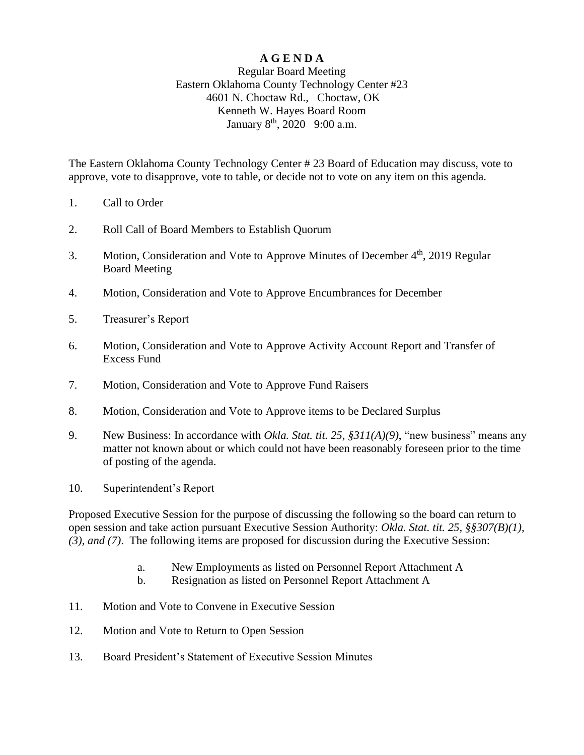## **A G E N D A**

## Regular Board Meeting Eastern Oklahoma County Technology Center #23 4601 N. Choctaw Rd., Choctaw, OK Kenneth W. Hayes Board Room January 8<sup>th</sup>, 2020 9:00 a.m.

The Eastern Oklahoma County Technology Center # 23 Board of Education may discuss, vote to approve, vote to disapprove, vote to table, or decide not to vote on any item on this agenda.

- 1. Call to Order
- 2. Roll Call of Board Members to Establish Quorum
- 3. Motion, Consideration and Vote to Approve Minutes of December 4<sup>th</sup>, 2019 Regular Board Meeting
- 4. Motion, Consideration and Vote to Approve Encumbrances for December
- 5. Treasurer's Report
- 6. Motion, Consideration and Vote to Approve Activity Account Report and Transfer of Excess Fund
- 7. Motion, Consideration and Vote to Approve Fund Raisers
- 8. Motion, Consideration and Vote to Approve items to be Declared Surplus
- 9. New Business: In accordance with *Okla. Stat. tit. 25, §311(A)(9)*, "new business" means any matter not known about or which could not have been reasonably foreseen prior to the time of posting of the agenda.
- 10. Superintendent's Report

Proposed Executive Session for the purpose of discussing the following so the board can return to open session and take action pursuant Executive Session Authority: *Okla. Stat. tit. 25, §§307(B)(1), (3), and (7)*. The following items are proposed for discussion during the Executive Session:

- a. New Employments as listed on Personnel Report Attachment A
- b. Resignation as listed on Personnel Report Attachment A
- 11. Motion and Vote to Convene in Executive Session
- 12. Motion and Vote to Return to Open Session
- 13. Board President's Statement of Executive Session Minutes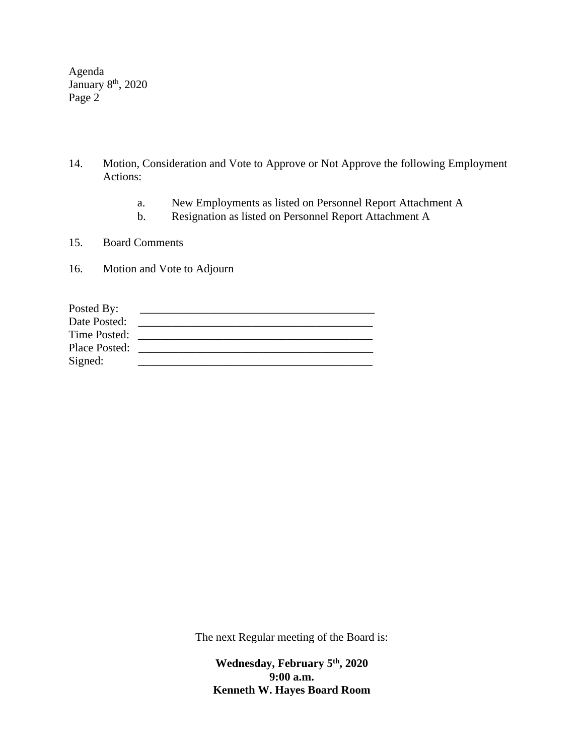Agenda January 8<sup>th</sup>, 2020 Page 2

- 14. Motion, Consideration and Vote to Approve or Not Approve the following Employment Actions:
	- a. New Employments as listed on Personnel Report Attachment A
	- b. Resignation as listed on Personnel Report Attachment A
- 15. Board Comments
- 16. Motion and Vote to Adjourn

| Posted By:           |  |
|----------------------|--|
| Date Posted:         |  |
| Time Posted:         |  |
| <b>Place Posted:</b> |  |
| Signed:              |  |

The next Regular meeting of the Board is:

**Wednesday, February 5 th , 2020 9:00 a.m. Kenneth W. Hayes Board Room**